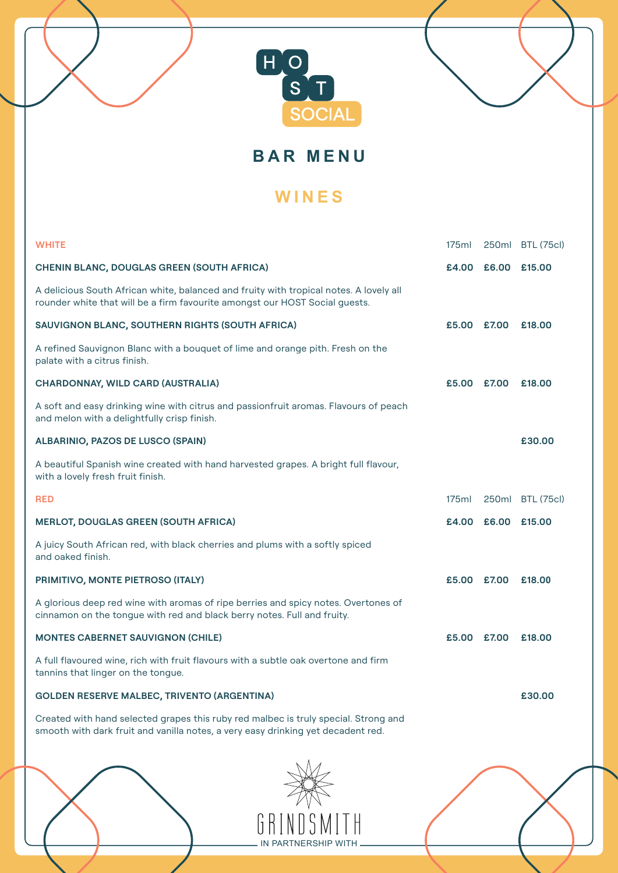



# **WINES**

| <b>WHITE</b>                                                                                                                                                            | 175ml       |                    | 250ml BTL (75cl) |
|-------------------------------------------------------------------------------------------------------------------------------------------------------------------------|-------------|--------------------|------------------|
| <b>CHENIN BLANC, DOUGLAS GREEN (SOUTH AFRICA)</b>                                                                                                                       |             | £4.00 £6.00 £15.00 |                  |
| A delicious South African white, balanced and fruity with tropical notes. A lovely all<br>rounder white that will be a firm favourite amongst our HOST Social quests.   |             |                    |                  |
| SAUVIGNON BLANC, SOUTHERN RIGHTS (SOUTH AFRICA)                                                                                                                         | £5.00 £7.00 |                    | £18,00           |
| A refined Sauvignon Blanc with a bouquet of lime and orange pith. Fresh on the<br>palate with a citrus finish.                                                          |             |                    |                  |
| <b>CHARDONNAY, WILD CARD (AUSTRALIA)</b>                                                                                                                                | £5.00 £7.00 |                    | £18.00           |
| A soft and easy drinking wine with citrus and passionfruit aromas. Flavours of peach<br>and melon with a delightfully crisp finish.                                     |             |                    |                  |
| <b>ALBARINIO, PAZOS DE LUSCO (SPAIN)</b>                                                                                                                                |             |                    | £30.00           |
| A beautiful Spanish wine created with hand harvested grapes. A bright full flavour,<br>with a lovely fresh fruit finish.                                                |             |                    |                  |
| <b>RED</b>                                                                                                                                                              | 175ml       |                    | 250ml BTL (75cl) |
| <b>MERLOT, DOUGLAS GREEN (SOUTH AFRICA)</b>                                                                                                                             |             | £4.00 £6.00 £15.00 |                  |
| A juicy South African red, with black cherries and plums with a softly spiced<br>and oaked finish.                                                                      |             |                    |                  |
| PRIMITIVO, MONTE PIETROSO (ITALY)                                                                                                                                       | £5.00 £7.00 |                    | £18.00           |
| A glorious deep red wine with aromas of ripe berries and spicy notes. Overtones of<br>cinnamon on the tongue with red and black berry notes. Full and fruity.           |             |                    |                  |
| <b>MONTES CABERNET SAUVIGNON (CHILE)</b>                                                                                                                                | £5.00 £7.00 |                    | £18,00           |
| A full flavoured wine, rich with fruit flavours with a subtle oak overtone and firm<br>tannins that linger on the tongue.                                               |             |                    |                  |
| <b>GOLDEN RESERVE MALBEC, TRIVENTO (ARGENTINA)</b>                                                                                                                      |             |                    | £30.00           |
| Created with hand selected grapes this ruby red malbec is truly special. Strong and<br>smooth with dark fruit and vanilla notes, a very easy drinking yet decadent red. |             |                    |                  |
|                                                                                                                                                                         |             |                    |                  |

THE GRINDSMITH IN PARTNERSHIP WITH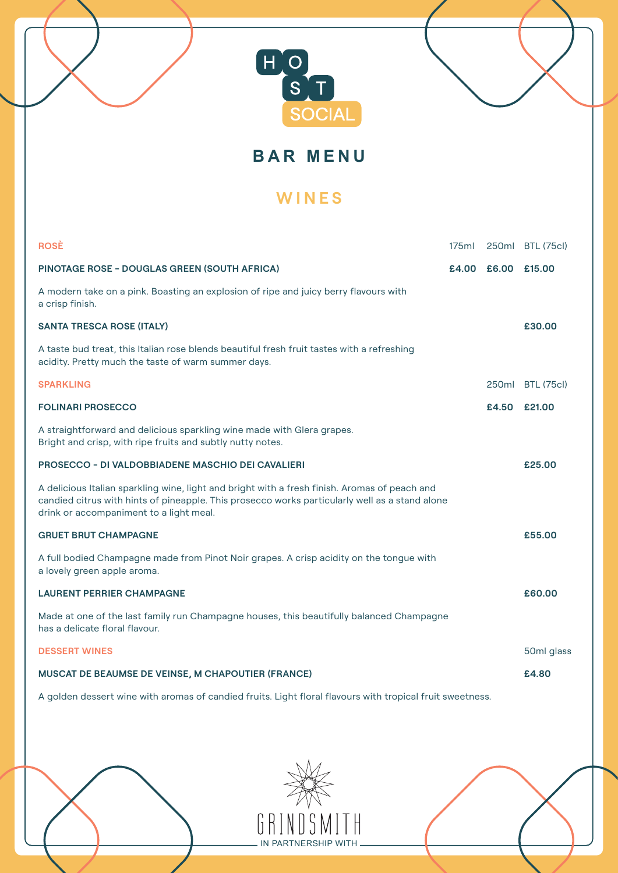



### **WINES**

| <b>ROSÈ</b>                                                                                                                                                                                                                                | 175ml |                    | 250ml BTL (75cl)  |
|--------------------------------------------------------------------------------------------------------------------------------------------------------------------------------------------------------------------------------------------|-------|--------------------|-------------------|
| <b>PINOTAGE ROSE - DOUGLAS GREEN (SOUTH AFRICA)</b>                                                                                                                                                                                        |       | £4.00 £6.00 £15.00 |                   |
| A modern take on a pink. Boasting an explosion of ripe and juicy berry flavours with<br>a crisp finish.                                                                                                                                    |       |                    |                   |
| <b>SANTA TRESCA ROSE (ITALY)</b>                                                                                                                                                                                                           |       |                    | £30.00            |
| A taste bud treat, this Italian rose blends beautiful fresh fruit tastes with a refreshing<br>acidity. Pretty much the taste of warm summer days.                                                                                          |       |                    |                   |
| <b>SPARKLING</b>                                                                                                                                                                                                                           |       | 250ml              | <b>BTL (75cl)</b> |
| <b>FOLINARI PROSECCO</b>                                                                                                                                                                                                                   |       | £4.50              | £21.00            |
| A straightforward and delicious sparkling wine made with Glera grapes.<br>Bright and crisp, with ripe fruits and subtly nutty notes.                                                                                                       |       |                    |                   |
| <b>PROSECCO - DI VALDOBBIADENE MASCHIO DEI CAVALIERI</b>                                                                                                                                                                                   |       |                    | £25.00            |
| A delicious Italian sparkling wine, light and bright with a fresh finish. Aromas of peach and<br>candied citrus with hints of pineapple. This prosecco works particularly well as a stand alone<br>drink or accompaniment to a light meal. |       |                    |                   |
| <b>GRUET BRUT CHAMPAGNE</b>                                                                                                                                                                                                                |       |                    | £55.00            |
| A full bodied Champagne made from Pinot Noir grapes. A crisp acidity on the tongue with<br>a lovely green apple aroma.                                                                                                                     |       |                    |                   |
| <b>LAURENT PERRIER CHAMPAGNE</b>                                                                                                                                                                                                           |       |                    | £60.00            |
| Made at one of the last family run Champagne houses, this beautifully balanced Champagne<br>has a delicate floral flavour.                                                                                                                 |       |                    |                   |
| <b>DESSERT WINES</b>                                                                                                                                                                                                                       |       |                    | 50ml glass        |
| <b>MUSCAT DE BEAUMSE DE VEINSE, M CHAPOUTIER (FRANCE)</b>                                                                                                                                                                                  |       |                    | £4.80             |

A golden dessert wine with aromas of candied fruits. Light floral flavours with tropical fruit sweetness.

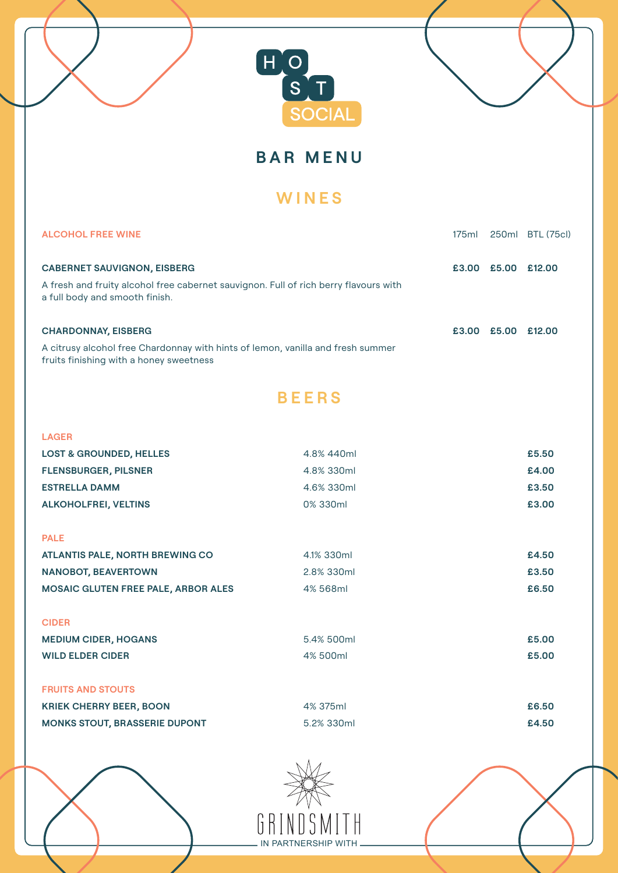

**BAR MENU**

## **WINES**

| <b>ALCOHOL FREE WINE</b>                                                                                                   |              |  |                    | 250ml BTL (75cl) |
|----------------------------------------------------------------------------------------------------------------------------|--------------|--|--------------------|------------------|
| <b>CABERNET SAUVIGNON, EISBERG</b>                                                                                         |              |  | £3.00 £5.00 £12.00 |                  |
| A fresh and fruity alcohol free cabernet sauvignon. Full of rich berry flavours with<br>a full body and smooth finish.     |              |  |                    |                  |
| <b>CHARDONNAY, EISBERG</b>                                                                                                 |              |  | £3.00 £5.00 £12.00 |                  |
| A citrusy alcohol free Chardonnay with hints of lemon, vanilla and fresh summer<br>fruits finishing with a honey sweetness |              |  |                    |                  |
|                                                                                                                            | <b>BEERS</b> |  |                    |                  |
| <b>LAGER</b>                                                                                                               |              |  |                    |                  |
| <b>LOST &amp; GROUNDED, HELLES</b>                                                                                         | 4.8% 440ml   |  |                    | £5.50            |
| <b>FLENSBURGER, PILSNER</b>                                                                                                | 4.8% 330ml   |  |                    | £4.00            |
| <b>ESTRELLA DAMM</b>                                                                                                       | 4.6% 330ml   |  | £3.50              |                  |
| <b>ALKOHOLFREI, VELTINS</b>                                                                                                | 0% 330ml     |  |                    | £3.00            |
| <b>PALE</b>                                                                                                                |              |  |                    |                  |
| <b>ATLANTIS PALE, NORTH BREWING CO</b>                                                                                     | 4.1% 330ml   |  |                    | £4.50            |
| <b>NANOBOT, BEAVERTOWN</b>                                                                                                 | 2.8% 330ml   |  |                    | £3.50            |
| MOSAIC GLUTEN FREE PALE, ARBOR ALES                                                                                        | 4% 568ml     |  |                    | £6.50            |
| <b>CIDER</b>                                                                                                               |              |  |                    |                  |
| <b>MEDIUM CIDER, HOGANS</b>                                                                                                | 5.4% 500ml   |  |                    | £5.00            |
| <b>WILD ELDER CIDER</b>                                                                                                    | 4% 500ml     |  |                    | £5.00            |
| <b>FRUITS AND STOUTS</b>                                                                                                   |              |  |                    |                  |
| <b>KRIEK CHERRY BEER, BOON</b>                                                                                             | 4% 375ml     |  |                    | £6.50            |
| <b>MONKS STOUT, BRASSERIE DUPONT</b>                                                                                       | 5.2% 330ml   |  |                    |                  |



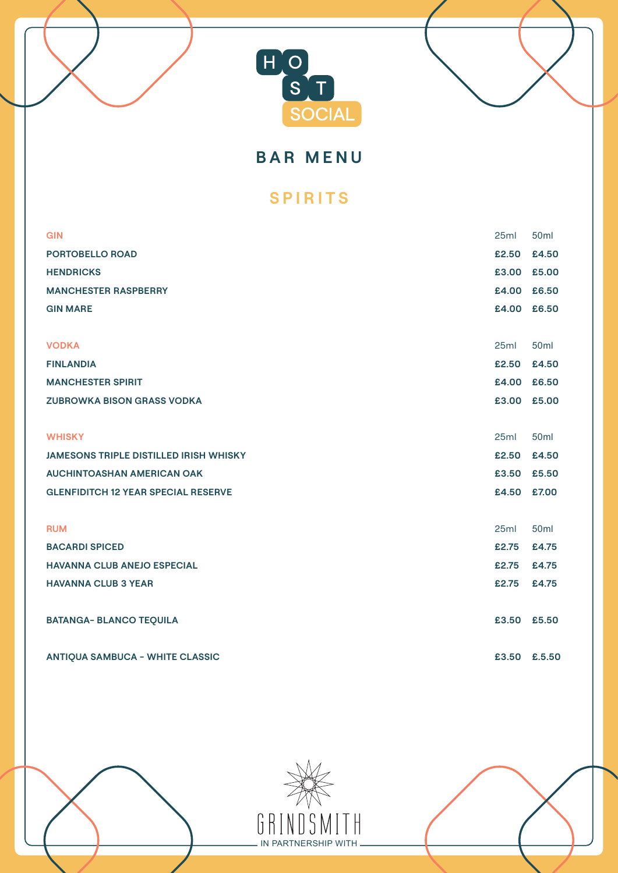



**BAR MENU**

### **SPIRITS**

| <b>GIN</b>                                    | 25ml         | <b>50ml</b>      |
|-----------------------------------------------|--------------|------------------|
| <b>PORTOBELLO ROAD</b>                        | £2.50        | £4.50            |
| <b>HENDRICKS</b>                              | £3.00 £5.00  |                  |
| <b>MANCHESTER RASPBERRY</b>                   | £4.00 £6.50  |                  |
| <b>GIN MARE</b>                               | £4.00 £6.50  |                  |
|                                               |              |                  |
| <b>VODKA</b>                                  | 25ml         | 50 <sub>ml</sub> |
| <b>FINLANDIA</b>                              | £2.50        | £4.50            |
| <b>MANCHESTER SPIRIT</b>                      | £4.00 £6.50  |                  |
| <b>ZUBROWKA BISON GRASS VODKA</b>             | £3.00 £5.00  |                  |
|                                               |              |                  |
| <b>WHISKY</b>                                 | 25ml         | 50 <sub>ml</sub> |
| <b>JAMESONS TRIPLE DISTILLED IRISH WHISKY</b> | £2.50        | £4.50            |
| <b>AUCHINTOASHAN AMERICAN OAK</b>             | £3.50        | £5.50            |
| <b>GLENFIDITCH 12 YEAR SPECIAL RESERVE</b>    | £4.50        | £7.00            |
|                                               |              |                  |
| <b>RUM</b>                                    | 25ml         | 50 <sub>ml</sub> |
| <b>BACARDI SPICED</b>                         | £2.75        | £4.75            |
| <b>HAVANNA CLUB ANEJO ESPECIAL</b>            | £2.75        | £4.75            |
| <b>HAVANNA CLUB 3 YEAR</b>                    | £2.75        | £4.75            |
|                                               |              |                  |
| <b>BATANGA- BLANCO TEQUILA</b>                | £3.50        | £5.50            |
|                                               |              |                  |
| <b>ANTIQUA SAMBUCA - WHITE CLASSIC</b>        | £3.50 £.5.50 |                  |